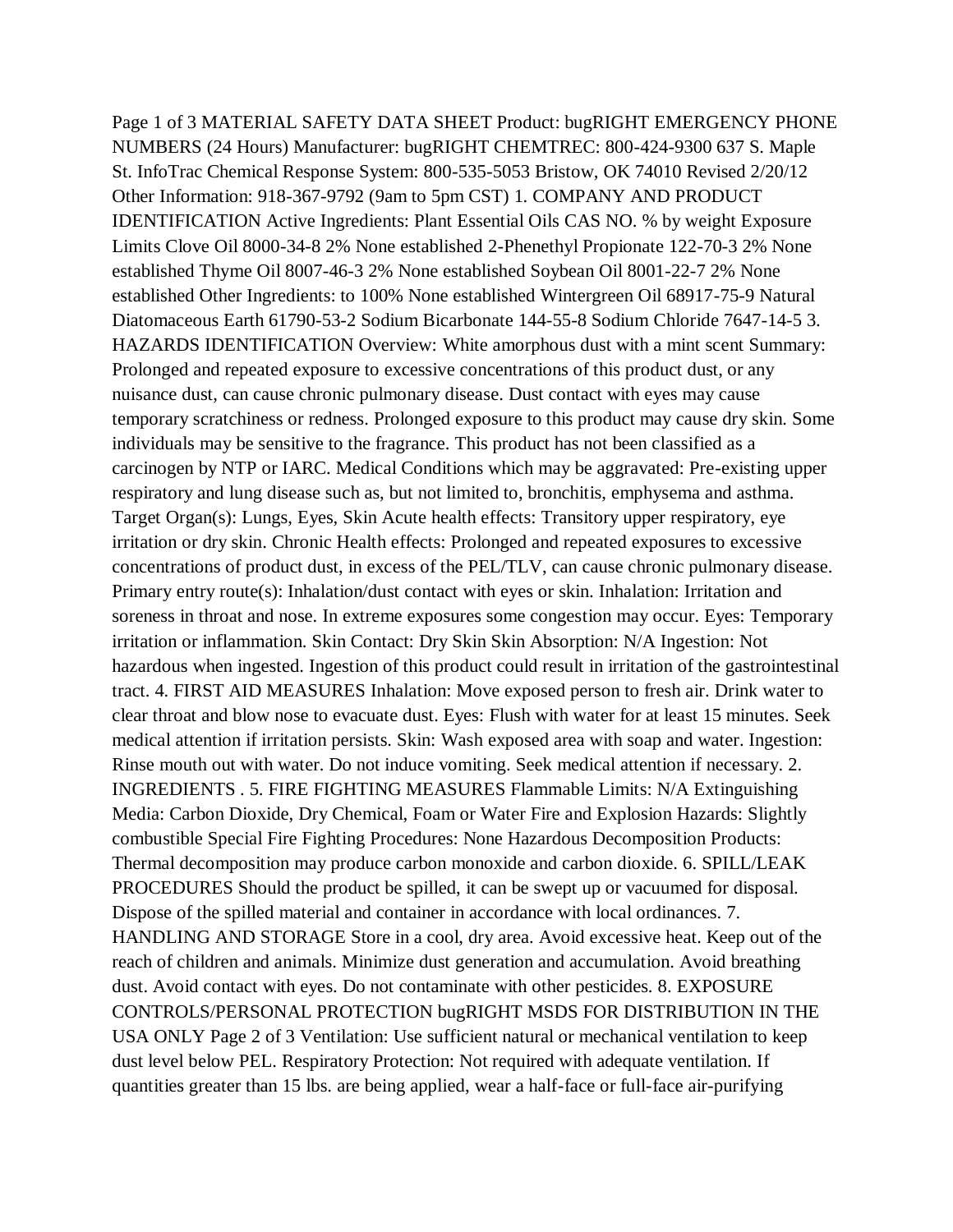Page 1 of 3 MATERIAL SAFETY DATA SHEET Product: bugRIGHT EMERGENCY PHONE NUMBERS (24 Hours) Manufacturer: bugRIGHT CHEMTREC: 800-424-9300 637 S. Maple St. InfoTrac Chemical Response System: 800-535-5053 Bristow, OK 74010 Revised 2/20/12 Other Information: 918-367-9792 (9am to 5pm CST) 1. COMPANY AND PRODUCT IDENTIFICATION Active Ingredients: Plant Essential Oils CAS NO. % by weight Exposure Limits Clove Oil 8000-34-8 2% None established 2-Phenethyl Propionate 122-70-3 2% None established Thyme Oil 8007-46-3 2% None established Soybean Oil 8001-22-7 2% None established Other Ingredients: to 100% None established Wintergreen Oil 68917-75-9 Natural Diatomaceous Earth 61790-53-2 Sodium Bicarbonate 144-55-8 Sodium Chloride 7647-14-5 3. HAZARDS IDENTIFICATION Overview: White amorphous dust with a mint scent Summary: Prolonged and repeated exposure to excessive concentrations of this product dust, or any nuisance dust, can cause chronic pulmonary disease. Dust contact with eyes may cause temporary scratchiness or redness. Prolonged exposure to this product may cause dry skin. Some individuals may be sensitive to the fragrance. This product has not been classified as a carcinogen by NTP or IARC. Medical Conditions which may be aggravated: Pre-existing upper respiratory and lung disease such as, but not limited to, bronchitis, emphysema and asthma. Target Organ(s): Lungs, Eyes, Skin Acute health effects: Transitory upper respiratory, eye irritation or dry skin. Chronic Health effects: Prolonged and repeated exposures to excessive concentrations of product dust, in excess of the PEL/TLV, can cause chronic pulmonary disease. Primary entry route(s): Inhalation/dust contact with eyes or skin. Inhalation: Irritation and soreness in throat and nose. In extreme exposures some congestion may occur. Eyes: Temporary irritation or inflammation. Skin Contact: Dry Skin Skin Absorption: N/A Ingestion: Not hazardous when ingested. Ingestion of this product could result in irritation of the gastrointestinal tract. 4. FIRST AID MEASURES Inhalation: Move exposed person to fresh air. Drink water to clear throat and blow nose to evacuate dust. Eyes: Flush with water for at least 15 minutes. Seek medical attention if irritation persists. Skin: Wash exposed area with soap and water. Ingestion: Rinse mouth out with water. Do not induce vomiting. Seek medical attention if necessary. 2. INGREDIENTS . 5. FIRE FIGHTING MEASURES Flammable Limits: N/A Extinguishing Media: Carbon Dioxide, Dry Chemical, Foam or Water Fire and Explosion Hazards: Slightly combustible Special Fire Fighting Procedures: None Hazardous Decomposition Products: Thermal decomposition may produce carbon monoxide and carbon dioxide. 6. SPILL/LEAK PROCEDURES Should the product be spilled, it can be swept up or vacuumed for disposal. Dispose of the spilled material and container in accordance with local ordinances. 7. HANDLING AND STORAGE Store in a cool, dry area. Avoid excessive heat. Keep out of the reach of children and animals. Minimize dust generation and accumulation. Avoid breathing dust. Avoid contact with eyes. Do not contaminate with other pesticides. 8. EXPOSURE CONTROLS/PERSONAL PROTECTION bugRIGHT MSDS FOR DISTRIBUTION IN THE USA ONLY Page 2 of 3 Ventilation: Use sufficient natural or mechanical ventilation to keep dust level below PEL. Respiratory Protection: Not required with adequate ventilation. If quantities greater than 15 lbs. are being applied, wear a half-face or full-face air-purifying